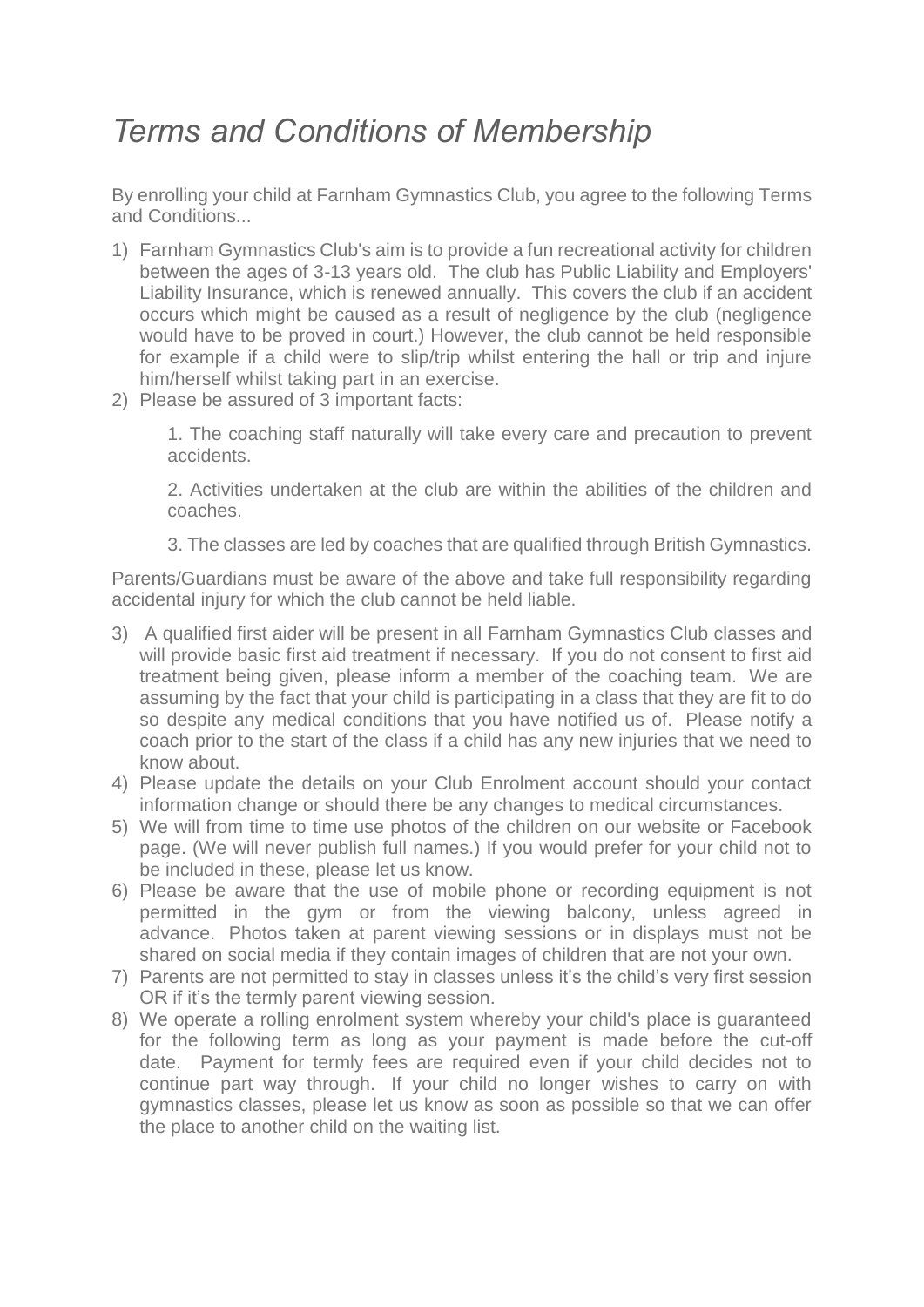## *Terms and Conditions of Membership*

By enrolling your child at Farnham Gymnastics Club, you agree to the following Terms and Conditions...

- 1) Farnham Gymnastics Club's aim is to provide a fun recreational activity for children between the ages of 3-13 years old. The club has Public Liability and Employers' Liability Insurance, which is renewed annually. This covers the club if an accident occurs which might be caused as a result of negligence by the club (negligence would have to be proved in court.) However, the club cannot be held responsible for example if a child were to slip/trip whilst entering the hall or trip and injure him/herself whilst taking part in an exercise.
- 2) Please be assured of 3 important facts:

1. The coaching staff naturally will take every care and precaution to prevent accidents.

2. Activities undertaken at the club are within the abilities of the children and coaches.

3. The classes are led by coaches that are qualified through British Gymnastics.

Parents/Guardians must be aware of the above and take full responsibility regarding accidental injury for which the club cannot be held liable.

- 3) A qualified first aider will be present in all Farnham Gymnastics Club classes and will provide basic first aid treatment if necessary. If you do not consent to first aid treatment being given, please inform a member of the coaching team. We are assuming by the fact that your child is participating in a class that they are fit to do so despite any medical conditions that you have notified us of. Please notify a coach prior to the start of the class if a child has any new injuries that we need to know about.
- 4) Please update the details on your Club Enrolment account should your contact information change or should there be any changes to medical circumstances.
- 5) We will from time to time use photos of the children on our website or Facebook page. (We will never publish full names.) If you would prefer for your child not to be included in these, please let us know.
- 6) Please be aware that the use of mobile phone or recording equipment is not permitted in the gym or from the viewing balcony, unless agreed in advance. Photos taken at parent viewing sessions or in displays must not be shared on social media if they contain images of children that are not your own.
- 7) Parents are not permitted to stay in classes unless it's the child's very first session OR if it's the termly parent viewing session.
- 8) We operate a rolling enrolment system whereby your child's place is guaranteed for the following term as long as your payment is made before the cut-off date. Payment for termly fees are required even if your child decides not to continue part way through. If your child no longer wishes to carry on with gymnastics classes, please let us know as soon as possible so that we can offer the place to another child on the waiting list.